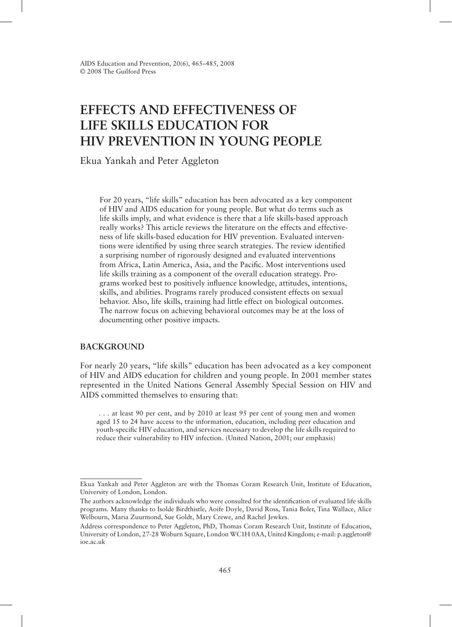AIDS Education and Prevention, 20(6), 465–485, 2008 © 2008 The Guilford Press

# **Effects and Effectiveness of Life Skills Education for HIV prevention in Young People**

Ekua Yankah and Peter Aggleton

For 20 years, "life skills" education has been advocated as a key component of HIV and AIDS education for young people. But what do terms such as life skills imply, and what evidence is there that a life skills-based approach really works? This article reviews the literature on the effects and effectiveness of life skills-based education for HIV prevention. Evaluated interventions were identified by using three search strategies. The review identified a surprising number of rigorously designed and evaluated interventions from Africa, Latin America, Asia, and the Pacific. Most interventions used life skills training as a component of the overall education strategy. Programs worked best to positively influence knowledge, attitudes, intentions, skills, and abilities. Programs rarely produced consistent effects on sexual behavior. Also, life skills, training had little effect on biological outcomes. The narrow focus on achieving behavioral outcomes may be at the loss of documenting other positive impacts.

# **Background**

For nearly 20 years, "life skills" education has been advocated as a key component of HIV and AIDS education for children and young people. In 2001 member states represented in the United Nations General Assembly Special Session on HIV and AIDS committed themselves to ensuring that:

 . . . at least 90 per cent, and by 2010 at least 95 per cent of young men and women aged 15 to 24 have access to the information, education, including peer education and youth-specific HIV education, and services necessary to develop the life skills required to reduce their vulnerability to HIV infection. (United Nation, 2001; our emphasis)

Ekua Yankah and Peter Aggleton are with the Thomas Coram Research Unit, Institute of Education, University of London, London.

The authors acknowledge the individuals who were consulted for the identification of evaluated life skills programs. Many thanks to Isolde Birdthistle, Aoife Doyle, David Ross, Tania Boler, Tina Wallace, Alice Welbourn, Maria Zuurmond, Sue Goldt, Mary Crewe, and Rachel Jewkes.

Address correspondence to Peter Aggleton, PhD, Thomas Coram Research Unit, Institute of Education, University of London, 27-28 Woburn Square, London WC1H 0AA, United Kingdom; e-mail: p.aggleton@ ioe.ac.uk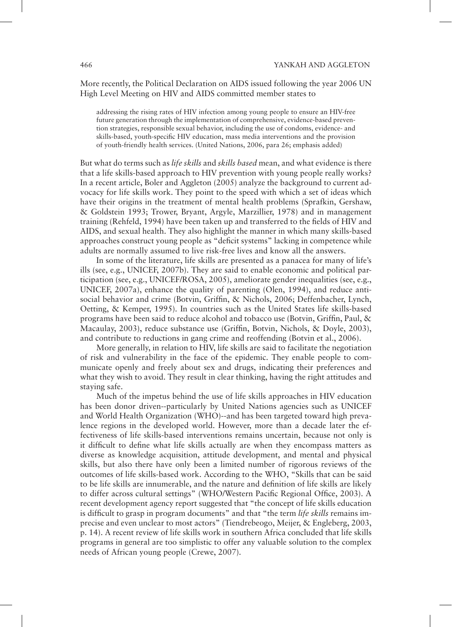More recently, the Political Declaration on AIDS issued following the year 2006 UN High Level Meeting on HIV and AIDS committed member states to

addressing the rising rates of HIV infection among young people to ensure an HIV-free future generation through the implementation of comprehensive, evidence-based prevention strategies, responsible sexual behavior, including the use of condoms, evidence- and skills-based, youth-specific HIV education, mass media interventions and the provision of youth-friendly health services. (United Nations, 2006, para 26; emphasis added)

But what do terms such as *life skills* and *skills based* mean, and what evidence is there that a life skills-based approach to HIV prevention with young people really works? In a recent article, Boler and Aggleton (2005) analyze the background to current advocacy for life skills work. They point to the speed with which a set of ideas which have their origins in the treatment of mental health problems (Sprafkin, Gershaw, & Goldstein 1993; Trower, Bryant, Argyle, Marzillier, 1978) and in management training (Rehfeld, 1994) have been taken up and transferred to the fields of HIV and AIDS, and sexual health. They also highlight the manner in which many skills-based approaches construct young people as "deficit systems" lacking in competence while adults are normally assumed to live risk-free lives and know all the answers.

In some of the literature, life skills are presented as a panacea for many of life's ills (see, e.g., UNICEF, 2007b). They are said to enable economic and political participation (see, e.g., UNICEF/ROSA, 2005), ameliorate gender inequalities (see, e.g., UNICEF, 2007a), enhance the quality of parenting (Olen, 1994), and reduce antisocial behavior and crime (Botvin, Griffin, & Nichols, 2006; Deffenbacher, Lynch, Oetting, & Kemper, 1995). In countries such as the United States life skills-based programs have been said to reduce alcohol and tobacco use (Botvin, Griffin, Paul, & Macaulay, 2003), reduce substance use (Griffin, Botvin, Nichols, & Doyle, 2003), and contribute to reductions in gang crime and reoffending (Botvin et al., 2006).

More generally, in relation to HIV, life skills are said to facilitate the negotiation of risk and vulnerability in the face of the epidemic. They enable people to communicate openly and freely about sex and drugs, indicating their preferences and what they wish to avoid. They result in clear thinking, having the right attitudes and staying safe.

Much of the impetus behind the use of life skills approaches in HIV education has been donor driven--particularly by United Nations agencies such as UNICEF and World Health Organization (WHO)--and has been targeted toward high prevalence regions in the developed world. However, more than a decade later the effectiveness of life skills-based interventions remains uncertain, because not only is it difficult to define what life skills actually are when they encompass matters as diverse as knowledge acquisition, attitude development, and mental and physical skills, but also there have only been a limited number of rigorous reviews of the outcomes of life skills-based work. According to the WHO, "Skills that can be said to be life skills are innumerable, and the nature and definition of life skills are likely to differ across cultural settings" (WHO/Western Pacific Regional Office, 2003). A recent development agency report suggested that "the concept of life skills education is difficult to grasp in program documents" and that "the term *life skills* remains imprecise and even unclear to most actors" (Tiendrebeogo, Meijer, & Engleberg, 2003, p. 14). A recent review of life skills work in southern Africa concluded that life skills programs in general are too simplistic to offer any valuable solution to the complex needs of African young people (Crewe, 2007).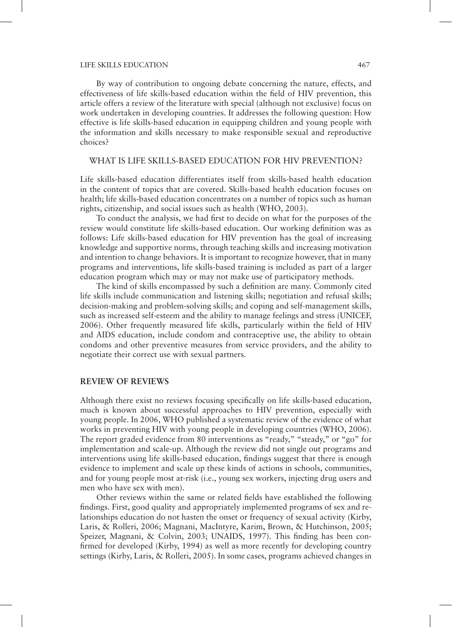By way of contribution to ongoing debate concerning the nature, effects, and effectiveness of life skills-based education within the field of HIV prevention, this article offers a review of the literature with special (although not exclusive) focus on work undertaken in developing countries. It addresses the following question: How effective is life skills-based education in equipping children and young people with the information and skills necessary to make responsible sexual and reproductive choices?

# What is life skills-based education for HIV prevention?

Life skills-based education differentiates itself from skills-based health education in the content of topics that are covered. Skills-based health education focuses on health; life skills-based education concentrates on a number of topics such as human rights, citizenship, and social issues such as health (WHO, 2003).

To conduct the analysis, we had first to decide on what for the purposes of the review would constitute life skills-based education. Our working definition was as follows: Life skills-based education for HIV prevention has the goal of increasing knowledge and supportive norms, through teaching skills and increasing motivation and intention to change behaviors. It is important to recognize however, that in many programs and interventions, life skills-based training is included as part of a larger education program which may or may not make use of participatory methods.

The kind of skills encompassed by such a definition are many. Commonly cited life skills include communication and listening skills; negotiation and refusal skills; decision-making and problem-solving skills; and coping and self-management skills, such as increased self-esteem and the ability to manage feelings and stress (UNICEF, 2006). Other frequently measured life skills, particularly within the field of HIV and AIDS education, include condom and contraceptive use, the ability to obtain condoms and other preventive measures from service providers, and the ability to negotiate their correct use with sexual partners.

## **Review of reviews**

Although there exist no reviews focusing specifically on life skills-based education, much is known about successful approaches to HIV prevention, especially with young people. In 2006, WHO published a systematic review of the evidence of what works in preventing HIV with young people in developing countries (WHO, 2006). The report graded evidence from 80 interventions as "ready," "steady," or "go" for implementation and scale-up. Although the review did not single out programs and interventions using life skills-based education, findings suggest that there is enough evidence to implement and scale up these kinds of actions in schools, communities, and for young people most at-risk (i.e., young sex workers, injecting drug users and men who have sex with men).

Other reviews within the same or related fields have established the following findings. First, good quality and appropriately implemented programs of sex and relationships education do not hasten the onset or frequency of sexual activity (Kirby, Laris, & Rolleri, 2006; Magnani, MacIntyre, Karim, Brown, & Hutchinson, 2005; Speizer, Magnani, & Colvin, 2003; UNAIDS, 1997). This finding has been confirmed for developed (Kirby, 1994) as well as more recently for developing country settings (Kirby, Laris, & Rolleri, 2005). In some cases, programs achieved changes in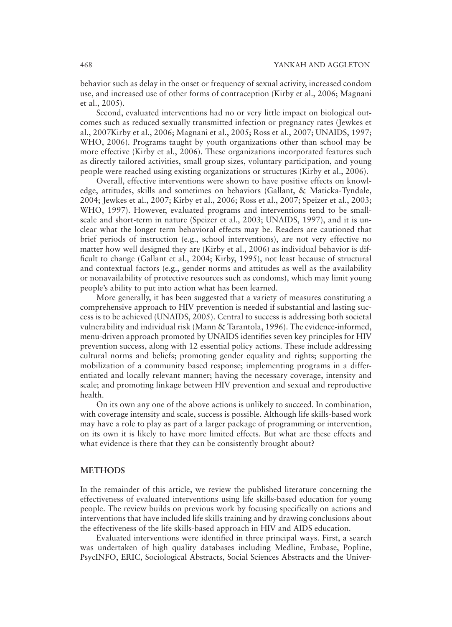behavior such as delay in the onset or frequency of sexual activity, increased condom use, and increased use of other forms of contraception (Kirby et al., 2006; Magnani et al., 2005).

Second, evaluated interventions had no or very little impact on biological outcomes such as reduced sexually transmitted infection or pregnancy rates (Jewkes et al., 2007Kirby et al., 2006; Magnani et al., 2005; Ross et al., 2007; UNAIDS, 1997; WHO, 2006). Programs taught by youth organizations other than school may be more effective (Kirby et al., 2006). These organizations incorporated features such as directly tailored activities, small group sizes, voluntary participation, and young people were reached using existing organizations or structures (Kirby et al., 2006).

Overall, effective interventions were shown to have positive effects on knowledge, attitudes, skills and sometimes on behaviors (Gallant, & Maticka-Tyndale, 2004; Jewkes et al., 2007; Kirby et al., 2006; Ross et al., 2007; Speizer et al., 2003; WHO, 1997). However, evaluated programs and interventions tend to be smallscale and short-term in nature (Speizer et al., 2003; UNAIDS, 1997), and it is unclear what the longer term behavioral effects may be. Readers are cautioned that brief periods of instruction (e.g., school interventions), are not very effective no matter how well designed they are (Kirby et al., 2006) as individual behavior is difficult to change (Gallant et al., 2004; Kirby, 1995), not least because of structural and contextual factors (e.g., gender norms and attitudes as well as the availability or nonavailability of protective resources such as condoms), which may limit young people's ability to put into action what has been learned.

More generally, it has been suggested that a variety of measures constituting a comprehensive approach to HIV prevention is needed if substantial and lasting success is to be achieved (UNAIDS, 2005). Central to success is addressing both societal vulnerability and individual risk (Mann & Tarantola, 1996). The evidence-informed, menu-driven approach promoted by UNAIDS identifies seven key principles for HIV prevention success, along with 12 essential policy actions. These include addressing cultural norms and beliefs; promoting gender equality and rights; supporting the mobilization of a community based response; implementing programs in a differentiated and locally relevant manner; having the necessary coverage, intensity and scale; and promoting linkage between HIV prevention and sexual and reproductive health.

On its own any one of the above actions is unlikely to succeed. In combination, with coverage intensity and scale, success is possible. Although life skills-based work may have a role to play as part of a larger package of programming or intervention, on its own it is likely to have more limited effects. But what are these effects and what evidence is there that they can be consistently brought about?

# **Methods**

In the remainder of this article, we review the published literature concerning the effectiveness of evaluated interventions using life skills-based education for young people. The review builds on previous work by focusing specifically on actions and interventions that have included life skills training and by drawing conclusions about the effectiveness of the life skills-based approach in HIV and AIDS education.

Evaluated interventions were identified in three principal ways. First, a search was undertaken of high quality databases including Medline, Embase, Popline, PsycINFO, ERIC, Sociological Abstracts, Social Sciences Abstracts and the Univer-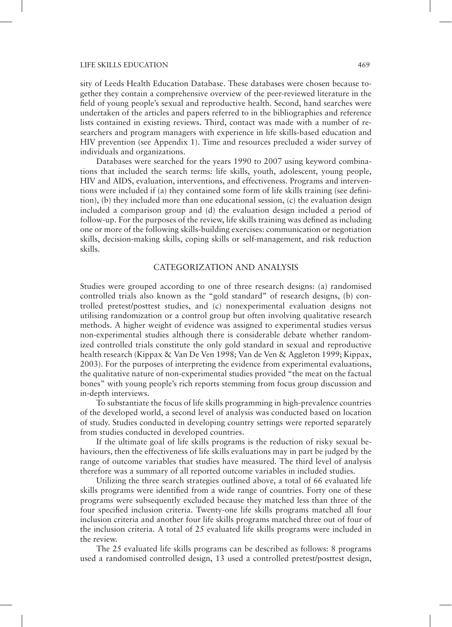sity of Leeds Health Education Database. These databases were chosen because together they contain a comprehensive overview of the peer-reviewed literature in the field of young people's sexual and reproductive health. Second, hand searches were undertaken of the articles and papers referred to in the bibliographies and reference lists contained in existing reviews. Third, contact was made with a number of researchers and program managers with experience in life skills-based education and HIV prevention (see Appendix 1). Time and resources precluded a wider survey of individuals and organizations.

Databases were searched for the years 1990 to 2007 using keyword combinations that included the search terms: life skills, youth, adolescent, young people, HIV and AIDS, evaluation, interventions, and effectiveness. Programs and interventions were included if (a) they contained some form of life skills training (see definition), (b) they included more than one educational session, (c) the evaluation design included a comparison group and (d) the evaluation design included a period of follow-up. For the purposes of the review, life skills training was defined as including one or more of the following skills-building exercises: communication or negotiation skills, decision-making skills, coping skills or self-management, and risk reduction skills.

# Categorization and analysis

Studies were grouped according to one of three research designs: (a) randomised controlled trials also known as the "gold standard" of research designs, (b) controlled pretest/posttest studies, and (c) nonexperimental evaluation designs not utilising randomization or a control group but often involving qualitative research methods. A higher weight of evidence was assigned to experimental studies versus non-experimental studies although there is considerable debate whether randomized controlled trials constitute the only gold standard in sexual and reproductive health research (Kippax & Van De Ven 1998; Van de Ven & Aggleton 1999; Kippax, 2003). For the purposes of interpreting the evidence from experimental evaluations, the qualitative nature of non-experimental studies provided "the meat on the factual bones" with young people's rich reports stemming from focus group discussion and in-depth interviews.

To substantiate the focus of life skills programming in high-prevalence countries of the developed world, a second level of analysis was conducted based on location of study. Studies conducted in developing country settings were reported separately from studies conducted in developed countries.

If the ultimate goal of life skills programs is the reduction of risky sexual behaviours, then the effectiveness of life skills evaluations may in part be judged by the range of outcome variables that studies have measured. The third level of analysis therefore was a summary of all reported outcome variables in included studies.

Utilizing the three search strategies outlined above, a total of 66 evaluated life skills programs were identified from a wide range of countries. Forty one of these programs were subsequently excluded because they matched less than three of the four specified inclusion criteria. Twenty-one life skills programs matched all four inclusion criteria and another four life skills programs matched three out of four of the inclusion criteria. A total of 25 evaluated life skills programs were included in the review.

The 25 evaluated life skills programs can be described as follows: 8 programs used a randomised controlled design, 13 used a controlled pretest/posttest design,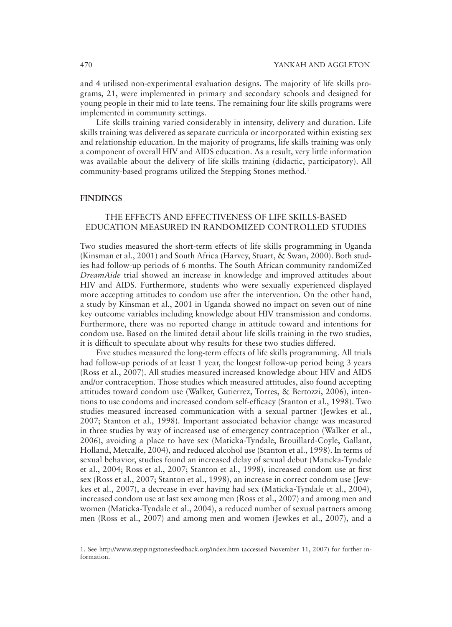and 4 utilised non-experimental evaluation designs. The majority of life skills programs, 21, were implemented in primary and secondary schools and designed for young people in their mid to late teens. The remaining four life skills programs were implemented in community settings.

Life skills training varied considerably in intensity, delivery and duration. Life skills training was delivered as separate curricula or incorporated within existing sex and relationship education. In the majority of programs, life skills training was only a component of overall HIV and AIDS education. As a result, very little information was available about the delivery of life skills training (didactic, participatory). All community-based programs utilized the Stepping Stones method.<sup>1</sup>

# **Findings**

# The effects and effectiveness of life skills-based education measured in randomiZed controlled studies

Two studies measured the short-term effects of life skills programming in Uganda (Kinsman et al., 2001) and South Africa (Harvey, Stuart, & Swan, 2000). Both studies had follow-up periods of 6 months. The South African community randomiZed *DreamAide* trial showed an increase in knowledge and improved attitudes about HIV and AIDS. Furthermore, students who were sexually experienced displayed more accepting attitudes to condom use after the intervention. On the other hand, a study by Kinsman et al., 2001 in Uganda showed no impact on seven out of nine key outcome variables including knowledge about HIV transmission and condoms. Furthermore, there was no reported change in attitude toward and intentions for condom use. Based on the limited detail about life skills training in the two studies, it is difficult to speculate about why results for these two studies differed.

Five studies measured the long-term effects of life skills programming. All trials had follow-up periods of at least 1 year, the longest follow-up period being 3 years (Ross et al., 2007). All studies measured increased knowledge about HIV and AIDS and/or contraception. Those studies which measured attitudes, also found accepting attitudes toward condom use (Walker, Gutierrez, Torres, & Bertozzi, 2006), intentions to use condoms and increased condom self-efficacy (Stanton et al., 1998). Two studies measured increased communication with a sexual partner (Jewkes et al., 2007; Stanton et al., 1998). Important associated behavior change was measured in three studies by way of increased use of emergency contraception (Walker et al., 2006), avoiding a place to have sex (Maticka-Tyndale, Brouillard-Coyle, Gallant, Holland, Metcalfe, 2004), and reduced alcohol use (Stanton et al., 1998). In terms of sexual behavior, studies found an increased delay of sexual debut (Maticka-Tyndale et al., 2004; Ross et al., 2007; Stanton et al., 1998), increased condom use at first sex (Ross et al., 2007; Stanton et al., 1998), an increase in correct condom use (Jewkes et al., 2007), a decrease in ever having had sex (Maticka-Tyndale et al., 2004), increased condom use at last sex among men (Ross et al., 2007) and among men and women (Maticka-Tyndale et al., 2004), a reduced number of sexual partners among men (Ross et al., 2007) and among men and women (Jewkes et al., 2007), and a

<sup>1.</sup> See http://www.steppingstonesfeedback.org/index.htm (accessed November 11, 2007) for further information.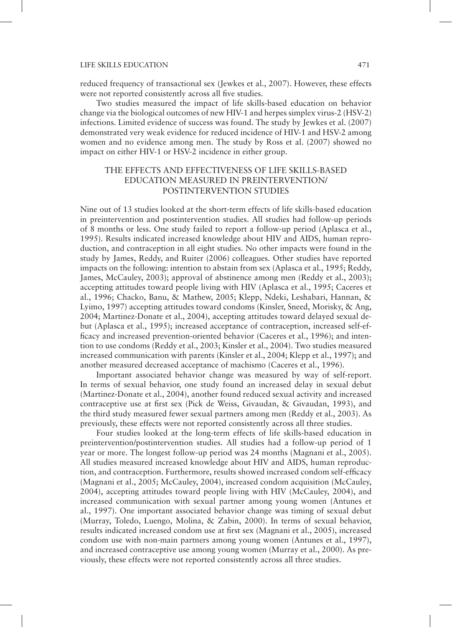reduced frequency of transactional sex (Jewkes et al., 2007). However, these effects were not reported consistently across all five studies.

Two studies measured the impact of life skills-based education on behavior change via the biological outcomes of new HIV-1 and herpes simplex virus-2 (HSV-2) infections. Limited evidence of success was found. The study by Jewkes et al. (2007) demonstrated very weak evidence for reduced incidence of HIV-1 and HSV-2 among women and no evidence among men. The study by Ross et al. (2007) showed no impact on either HIV-1 or HSV-2 incidence in either group.

# The effects and effectiveness of life skills-based education measured in preintervention/ postintervention studies

Nine out of 13 studies looked at the short-term effects of life skills-based education in preintervention and postintervention studies. All studies had follow-up periods of 8 months or less. One study failed to report a follow-up period (Aplasca et al., 1995). Results indicated increased knowledge about HIV and AIDS, human reproduction, and contraception in all eight studies. No other impacts were found in the study by James, Reddy, and Ruiter (2006) colleagues. Other studies have reported impacts on the following: intention to abstain from sex (Aplasca et al., 1995; Reddy, James, McCauley, 2003); approval of abstinence among men (Reddy et al., 2003); accepting attitudes toward people living with HIV (Aplasca et al., 1995; Caceres et al., 1996; Chacko, Banu, & Mathew, 2005; Klepp, Ndeki, Leshabari, Hannan, & Lyimo, 1997) accepting attitudes toward condoms (Kinsler, Sneed, Morisky, & Ang, 2004; Martinez-Donate et al., 2004), accepting attitudes toward delayed sexual debut (Aplasca et al., 1995); increased acceptance of contraception, increased self-efficacy and increased prevention-oriented behavior (Caceres et al., 1996); and intention to use condoms (Reddy et al., 2003; Kinsler et al., 2004). Two studies measured increased communication with parents (Kinsler et al., 2004; Klepp et al., 1997); and another measured decreased acceptance of machismo (Caceres et al., 1996).

Important associated behavior change was measured by way of self-report. In terms of sexual behavior, one study found an increased delay in sexual debut (Martinez-Donate et al., 2004), another found reduced sexual activity and increased contraceptive use at first sex (Pick de Weiss, Givaudan, & Givaudan, 1993), and the third study measured fewer sexual partners among men (Reddy et al., 2003). As previously, these effects were not reported consistently across all three studies.

Four studies looked at the long-term effects of life skills-based education in preintervention/postintervention studies. All studies had a follow-up period of 1 year or more. The longest follow-up period was 24 months (Magnani et al., 2005). All studies measured increased knowledge about HIV and AIDS, human reproduction, and contraception. Furthermore, results showed increased condom self-efficacy (Magnani et al., 2005; McCauley, 2004), increased condom acquisition (McCauley, 2004), accepting attitudes toward people living with HIV (McCauley, 2004), and increased communication with sexual partner among young women (Antunes et al., 1997). One important associated behavior change was timing of sexual debut (Murray, Toledo, Luengo, Molina, & Zabin, 2000). In terms of sexual behavior, results indicated increased condom use at first sex (Magnani et al., 2005), increased condom use with non-main partners among young women (Antunes et al., 1997), and increased contraceptive use among young women (Murray et al., 2000). As previously, these effects were not reported consistently across all three studies.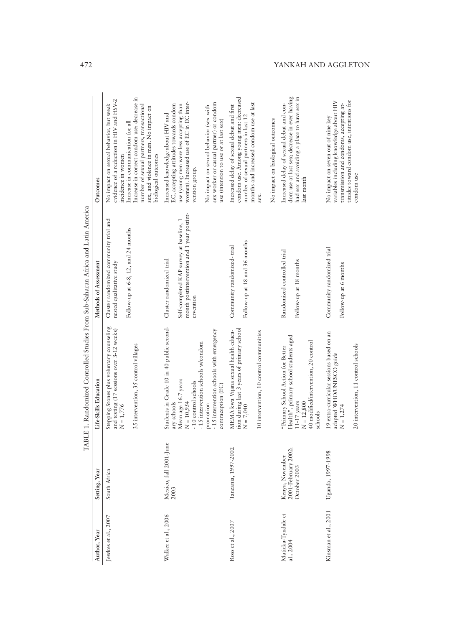|                                 |                                                        |                                                                                                                                                                | TABLE 1. Randomized Controlled Studies From Sub-Saharan Africa and Latin America                                                |                                                                                                                                                                                               |
|---------------------------------|--------------------------------------------------------|----------------------------------------------------------------------------------------------------------------------------------------------------------------|---------------------------------------------------------------------------------------------------------------------------------|-----------------------------------------------------------------------------------------------------------------------------------------------------------------------------------------------|
| Author, Year                    | Setting, Year                                          | Life-Skills Education                                                                                                                                          | Methods of Assessment                                                                                                           | Outcomes                                                                                                                                                                                      |
| Jewkes et al., 2007             | South Africa                                           | Stepping Stones plus voluntary counseling<br>and testing (17 sessions over 3-12 weeks)<br>$N = 1,776$                                                          | Cluster randomized community trial and<br>nested qualitative study                                                              | evidence of a reduction in HIV and HSV-2<br>No impact on sexual behavior, but weak<br>incidence in women                                                                                      |
|                                 |                                                        | 35 intervention, 35 control villages                                                                                                                           | Follow-up at 6-8, 12, and 24 months                                                                                             | Increase in correct condom use; decrease in<br>number of sexual partners, transactional<br>sex, and violence in men. No impact on<br>Increase in communication for all<br>biological outcomes |
| Walker et al., 2006             | Mexico, fall 2001-June<br>2003                         | Students in Grade 10 in 40 public second-<br>- 15 intervention schools w/condom<br>Mean age 16.7 years<br>-10 control schools<br>$N = 10,954$<br>ary schools   | month postintervention and 1 year postint-<br>Self-completed KAP survey at baseline, 1<br>Cluster randomized trial<br>ervention | women). Increased use of EC in EC inter-<br>EC, accepting attitudes towards condom<br>use (young men were less accepting than<br>Increased knowledge about HIV and<br>vention group.          |
|                                 |                                                        | - 15 intervention schools with emergency<br>contraception (EC)<br>promotion                                                                                    |                                                                                                                                 | sex worker or casual partner) or condom<br>No impact on sexual behavior (sex with<br>use (intention to use or at last sex)                                                                    |
| Ross et al., 2007               | Tanzania, 1997-2002                                    | tion during last 3 years of primary school<br>MEMA kwa Vijana sexual health educa-<br>$N = 7,040$                                                              | Follow-up at 18 and 36 months<br>Community randomized-trial                                                                     | condom use. Among young men: decreased<br>months and increased condom use at last<br>Increased delay of sexual debut and first<br>number of sexual partners in last 12                        |
|                                 |                                                        | 10 intervention, 10 control communities                                                                                                                        |                                                                                                                                 | sex.                                                                                                                                                                                          |
|                                 |                                                        |                                                                                                                                                                |                                                                                                                                 | No impact on biological outcomes                                                                                                                                                              |
| Maticka-Tyndale et<br>al., 2004 | 2001-February 2002;<br>Kenya, November<br>October 2003 | Health", primary school students aged<br>40 modified/intervention, 20 control<br>"Primary School Action for Better<br>$11-17$ years<br>$N = 12,800$<br>schools | Randomized controlled trial<br>Follow-up at 18 months                                                                           | dom use at last sex; decrease in ever having<br>had sex and avoiding a place to have sex in<br>Increased delay of sexual debut and con-<br>last month                                         |
| Kinsman et al., 2001            | Uganda, 1997-1998                                      | 19 extra-curricular sessions based on an<br>adapted WHO/UNESCO guide<br>$N = 1,274$                                                                            | Community randomized trial<br>Follow-up at 6 months                                                                             | variables including knowledge about HIV<br>transmission and condoms, accepting at-<br>No impact on seven out of nine key                                                                      |
|                                 |                                                        | 20 intervention, 11 control schools                                                                                                                            |                                                                                                                                 | titudes toward condom use, intentions for<br>condom use                                                                                                                                       |

 $\overline{\phantom{a}}$ 

# 472 YANKAH AND AGGLETON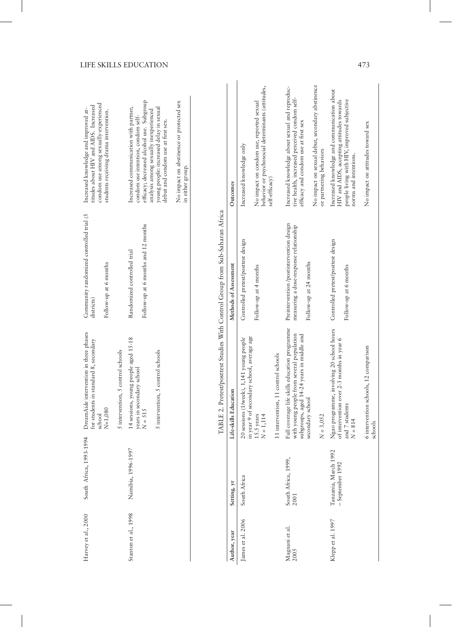| Harvey et al., 2000    | South Africa, 1993-1994                 | DreamAide intervention in three phases<br>for students in standard 8, secondary<br>$N=1,080$<br>school                                                      | Community randomized controlled trial (5<br>Follow-up at 6 months<br>districts)                              | condom use among sexually-experienced<br>titudes about HIV and AIDS. Increased<br>Increased knowledge and improved at-<br>students receiving drama intervention. |
|------------------------|-----------------------------------------|-------------------------------------------------------------------------------------------------------------------------------------------------------------|--------------------------------------------------------------------------------------------------------------|------------------------------------------------------------------------------------------------------------------------------------------------------------------|
|                        |                                         | 5 intervention, 5 control schools                                                                                                                           |                                                                                                              |                                                                                                                                                                  |
| Stanton et al., 1998   | Namibia, 1996-1997                      | 14 sessions, young people aged 15-18<br>years in secondary school<br>$N = 515$                                                                              | Follow-up at 6 months and 12 months<br>Randomized controlled trial                                           | efficacy; decreased alcohol use. Subgroup<br>Increased communication with partner,<br>condom use intention, condom self-                                         |
|                        |                                         | 5 intervention, 5 control schools                                                                                                                           |                                                                                                              | young people: increased delay in sexual<br>analysis among sexually inexperienced<br>debut and condom use at first sex.                                           |
|                        |                                         |                                                                                                                                                             |                                                                                                              | No impact on abstinence or protected sex<br>in either group.                                                                                                     |
|                        |                                         |                                                                                                                                                             | TABLE 2. Pretest/posttest Studies With Control Group from Sub-Saharan Africa                                 |                                                                                                                                                                  |
| Author, year           | Setting, yr                             | Life-skills Education                                                                                                                                       | Methods of Assessment                                                                                        | Outcomes                                                                                                                                                         |
| James et al. 2006      | South Africa                            | in year 9 of secondary school, average age<br>20 sessions (1/week), 1,141 young people                                                                      | Controlled pretest/posttest design                                                                           | Increased knowledge only                                                                                                                                         |
|                        |                                         | 15.5 years<br>$N = 1,114$                                                                                                                                   | Follow-up at 4 months                                                                                        | behavior or psychosocial determinants (attitudes,<br>No impact on condom use, reported sexual<br>self-efficacy)                                                  |
|                        |                                         | 11 intervention, 11 control schools                                                                                                                         |                                                                                                              |                                                                                                                                                                  |
| Magnani et al.<br>2005 | South Africa, 1999,<br>2001             | Full coverage life skills education programme<br>with young people from several population<br>subgroups, aged 14-24 years in middle and<br>secondary school | Preintervention /postintervention design<br>measuring a dose-response relationship<br>Follow-up at 24 months | Increased knowledge about sexual and reproduc-<br>tive health, increased perceived condom self-<br>efficacy and condom use at first sex                          |
|                        |                                         | $N = 3,052$                                                                                                                                                 |                                                                                                              | No impact on sexual debut, secondary abstinence<br>or partnering behaviors                                                                                       |
| Klepp et al. 1997      | Tanzania, March 1992<br>-September 1992 | Ngao programme, involving 20 school hours<br>of intervention over 2-3 months in year 6<br>and 7 students<br>$N = 814$                                       | Controlled pretest/posttest design<br>Follow-up at 6 months                                                  | Increased knowledge and communication about<br>people living with HIV, improved subjective<br>HIV and AIDS, accepting attitudes towards<br>norms and intentions. |
|                        |                                         | 6 intervention schools, 12 comparison<br>schools                                                                                                            |                                                                                                              | No impact on attitudes toward sex                                                                                                                                |

 $\overline{\phantom{a}}$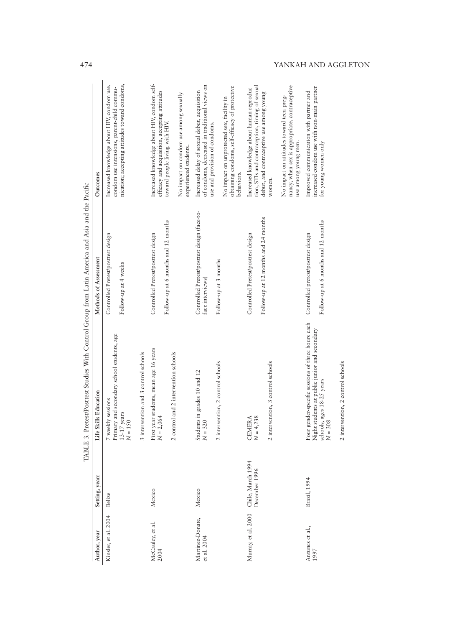|                                 |                                      | TABLE 3. PretestPosttest Studies With Control Group from Latin America and Asia and the Pacific                                           |                                                                            |                                                                                                                                                   |
|---------------------------------|--------------------------------------|-------------------------------------------------------------------------------------------------------------------------------------------|----------------------------------------------------------------------------|---------------------------------------------------------------------------------------------------------------------------------------------------|
| Author, year                    | Setting, yearr                       | Life Skills Education                                                                                                                     | Methods of Assessment                                                      | Outcomes                                                                                                                                          |
| Kinsler, et al. 2004            | Belize                               | Primary and secondary school students, age<br>weekly sessions<br>$13-17$ years<br>$N \approx 150$                                         | Controlled Pretest/posttest design<br>Follow-up at 4 weeks                 | nication; accepting attitudes toward condoms,<br>Increased knowledge about HIV, condom use,<br>condom use intensions, parent-child commu-         |
|                                 |                                      | intervention and 3 control schools                                                                                                        |                                                                            |                                                                                                                                                   |
| McCauley, et al.<br>2004        | Mexico                               | First year students, mean age 16 years<br>$N=2,064$                                                                                       | Follow-up at 6 months and 12 months<br>Controlled Pretest/posttest design  | Increased knowledge about HIV, condom self-<br>efficacy and acquisition, accepting attitudes<br>toward people living with HIV.                    |
|                                 |                                      | control and 2 intervention schools                                                                                                        |                                                                            | No impact on condom use among sexually<br>experienced students.                                                                                   |
| Martinez-Donate,<br>et al. 2004 | Mexico                               | Students in grades 10 and 12 $N = 320$                                                                                                    | Controlled Pretest/posttest design (face-to-<br>face interviews)           | of condoms, decreased in traditional views on<br>Increased delay of sexual debut, acquisition<br>use and provision of condoms.                    |
|                                 |                                      | intervention, 2 control schools                                                                                                           | Follow-up at 3 months                                                      | obtaining condoms, self-efficacy of protective<br>No impact on unprotected sex, facility in<br>behaviors.                                         |
| Murray, et al. 2000             | Chile, March 1994 -<br>December 1996 | intervention, 3 control schools<br>CEMERA<br>$N = 4,238$                                                                                  | Follow-up at 12 months and 24 months<br>Controlled Pretest/posttest design | tion, STIs and contraception, timing of sexual<br>Increased knowledge about human reproduc-<br>debut, and contraceptive use among young<br>women. |
|                                 |                                      |                                                                                                                                           |                                                                            | nancy, when sex is appropriate, contraceptive<br>No impact on attitudes toward teen preg-<br>use among young men.                                 |
| Antunes et al.,<br>1997         | Brazil, 1994                         | Four gender-specific sessions of three hours each<br>Night students at public junior and secondary<br>schools, ages 18-25 years $N = 308$ | Follow-up at 6 months and 12 months<br>Controlled pretest/posttest design  | increased condom use with non-main partner<br>Improved communication with partner and<br>for young women only                                     |
|                                 |                                      | intervention, 2 control schools                                                                                                           |                                                                            |                                                                                                                                                   |

# 474 YANKAH AND AGGLETON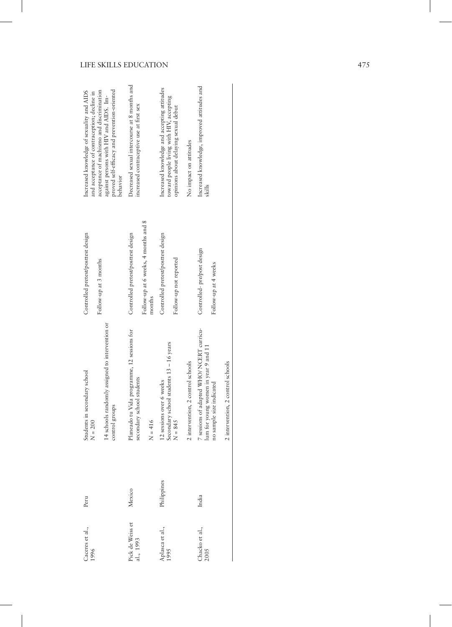$\mathbf{I}$ 

| Caceres et al.,<br>1996       | Peru        | Students in secondary school<br>$N = 200$                                         | Controlled pretest/posttest design             | Increased knowledge of sexuality and AIDS<br>and acceptance of contraception; decline in                                                        |
|-------------------------------|-------------|-----------------------------------------------------------------------------------|------------------------------------------------|-------------------------------------------------------------------------------------------------------------------------------------------------|
|                               |             | 14 schools randomly assigned to intervention or<br>control groups                 | Follow-up at 3 months                          | proved self-efficacy and prevention-oriented<br>acceptance of machismo and discrimination<br>against persons with HIV and AIDS. Im-<br>behavior |
| lick de Weiss et<br>al., 1993 | Mexico      | Planeado tu Vida programme, 12 sessions for<br>secondary school students          | Controlled pretest/posttest design             | Decreased sexual intercourse at 8 months and<br>increased contraceptive use at first sex                                                        |
|                               |             | $N = 416$                                                                         | Follow-up at 6 weeks, 4 months and 8<br>months |                                                                                                                                                 |
| Aplasca et al.,<br>1995       | Philippines | Secondary school students 13 - 16 years<br>12 sessions over 6 weeks               | Controlled pretest/posttest design             | Increased knowledge and accepting attitudes<br>toward people living with HIV, accepting                                                         |
|                               |             | $N = 845$                                                                         | Follow-up not reported                         | opinions about delaying sexual debut                                                                                                            |
|                               |             | 2 intervention, 2 control schools                                                 |                                                | No impact on attitudes                                                                                                                          |
| Chacko et al.,<br>2005        | India       | 7 sessions of adapted WHO/ NCERT curricu-<br>lum for young women in year 9 and 11 | Controlled-pre/post design                     | Increased knowledge, improved attitudes and<br>skills                                                                                           |
|                               |             | no sample size indicated                                                          | Follow-up at 4 weeks                           |                                                                                                                                                 |
|                               |             | 2 intervention, 2 control schools                                                 |                                                |                                                                                                                                                 |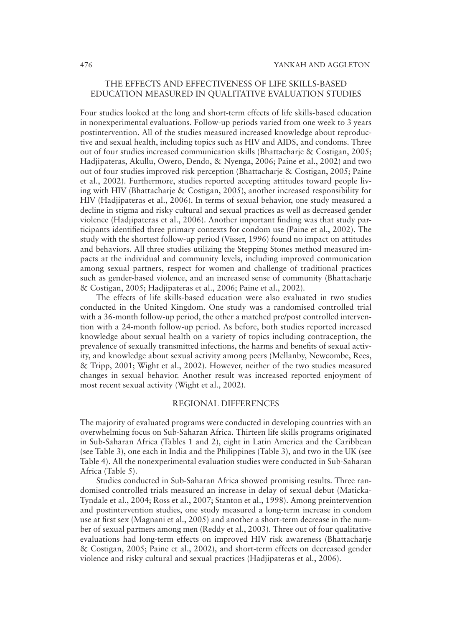# The effects and effectiveness of life skills-based education measured in qualitative evaluation studies

Four studies looked at the long and short-term effects of life skills-based education in nonexperimental evaluations. Follow-up periods varied from one week to 3 years postintervention. All of the studies measured increased knowledge about reproductive and sexual health, including topics such as HIV and AIDS, and condoms. Three out of four studies increased communication skills (Bhattacharje & Costigan, 2005; Hadjipateras, Akullu, Owero, Dendo, & Nyenga, 2006; Paine et al., 2002) and two out of four studies improved risk perception (Bhattacharje & Costigan, 2005; Paine et al., 2002). Furthermore, studies reported accepting attitudes toward people living with HIV (Bhattacharje & Costigan, 2005), another increased responsibility for HIV (Hadjipateras et al., 2006). In terms of sexual behavior, one study measured a decline in stigma and risky cultural and sexual practices as well as decreased gender violence (Hadjipateras et al., 2006). Another important finding was that study participants identified three primary contexts for condom use (Paine et al., 2002). The study with the shortest follow-up period (Visser, 1996) found no impact on attitudes and behaviors. All three studies utilizing the Stepping Stones method measured impacts at the individual and community levels, including improved communication among sexual partners, respect for women and challenge of traditional practices such as gender-based violence, and an increased sense of community (Bhattacharje & Costigan, 2005; Hadjipateras et al., 2006; Paine et al., 2002).

The effects of life skills-based education were also evaluated in two studies conducted in the United Kingdom. One study was a randomised controlled trial with a 36-month follow-up period, the other a matched pre/post controlled intervention with a 24-month follow-up period. As before, both studies reported increased knowledge about sexual health on a variety of topics including contraception, the prevalence of sexually transmitted infections, the harms and benefits of sexual activity, and knowledge about sexual activity among peers (Mellanby, Newcombe, Rees, & Tripp, 2001; Wight et al., 2002). However, neither of the two studies measured changes in sexual behavior. Another result was increased reported enjoyment of most recent sexual activity (Wight et al., 2002).

# Regional differences

The majority of evaluated programs were conducted in developing countries with an overwhelming focus on Sub-Saharan Africa. Thirteen life skills programs originated in Sub-Saharan Africa (Tables 1 and 2), eight in Latin America and the Caribbean (see Table 3), one each in India and the Philippines (Table 3), and two in the UK (see Table 4). All the nonexperimental evaluation studies were conducted in Sub-Saharan Africa (Table 5).

Studies conducted in Sub-Saharan Africa showed promising results. Three randomised controlled trials measured an increase in delay of sexual debut (Maticka-Tyndale et al., 2004; Ross et al., 2007; Stanton et al., 1998). Among preintervention and postintervention studies, one study measured a long-term increase in condom use at first sex (Magnani et al., 2005) and another a short-term decrease in the number of sexual partners among men (Reddy et al., 2003). Three out of four qualitative evaluations had long-term effects on improved HIV risk awareness (Bhattacharje & Costigan, 2005; Paine et al., 2002), and short-term effects on decreased gender violence and risky cultural and sexual practices (Hadjipateras et al., 2006).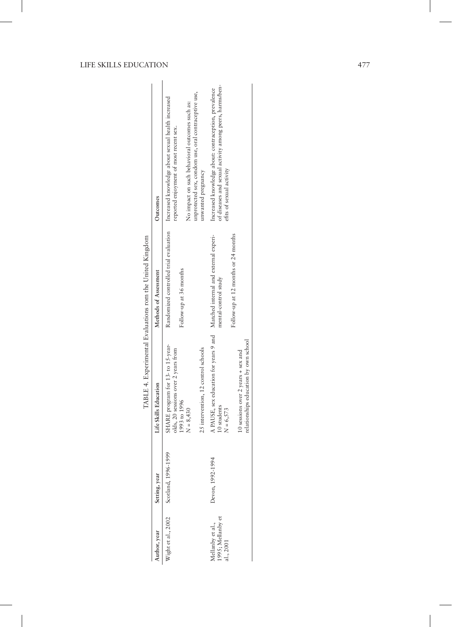|                                                   |                     |                                                                                          | TABLE 4. Experimental Evaluations rom the United Kingdom      |                                                                                                                                             |
|---------------------------------------------------|---------------------|------------------------------------------------------------------------------------------|---------------------------------------------------------------|---------------------------------------------------------------------------------------------------------------------------------------------|
| uthor, year                                       | Setting, year       | Life Skills Education                                                                    | Methods of Assessment                                         | <b>Outcomes</b>                                                                                                                             |
| Vight et al., 2002                                | Scotland, 1996-1999 | SHARE program for 13- to 15-year-<br>olds, 20 sessions over 2 years from<br>1993 to 1996 | Follow-up at 36 months                                        | Randomized controlled trial evaluation Increased knowledge about sexual health increased<br>reported enjoyment of most recent sex.          |
|                                                   |                     | $N = 8,430$                                                                              |                                                               | unprotected sex, condom use, oral contraceptive use,<br>No impact on such behavioral outcomes such as:                                      |
|                                                   |                     | 25 intervention, 12 control schools                                                      |                                                               | unwanted pregnancy                                                                                                                          |
| 1995; Mellanby et<br>Aellanby et al.,<br>1., 2001 | Devon, 1992-1994    | A PAUSE, sex education for years 9 and<br>10 students<br>$N = 6,573$                     | Matched internal and external experi-<br>mental-control study | of diseases and sexual activity among peers, harms/ben-<br>Increased knowledge about: contraception, prevalence<br>efits of sexual activity |
|                                                   |                     | relationships education by own school<br>10 sessions over $2$ years $+$ sex and          | Follow-up at 12 months or 24 months                           |                                                                                                                                             |
|                                                   |                     |                                                                                          |                                                               |                                                                                                                                             |

 $\overline{\phantom{a}}$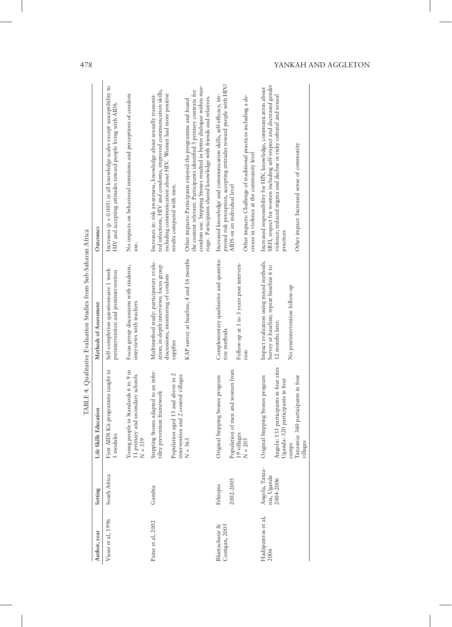|                                  |                                            |                                                                                                                | Extrust transportant control structure transportant control of the control of the control of the control of the control of the control of the control of the control of the control of the control of the control of the contr |                                                                                                                                                                                                                                                                                |
|----------------------------------|--------------------------------------------|----------------------------------------------------------------------------------------------------------------|--------------------------------------------------------------------------------------------------------------------------------------------------------------------------------------------------------------------------------|--------------------------------------------------------------------------------------------------------------------------------------------------------------------------------------------------------------------------------------------------------------------------------|
| Author, year                     | Setting                                    | Life Skills Education                                                                                          | Methods of Assessment                                                                                                                                                                                                          | Outcomes                                                                                                                                                                                                                                                                       |
| Visser et al, 1996               | South Africa                               | First AIDS Kit programme taught in<br>5 modules                                                                | Self-completion questionnaire 1 week<br>preintervention and postintervention                                                                                                                                                   | Increases ( $p < 0.005$ ) in all knowledge scales except susceptibility to<br>HIV and accepting attitudes toward people living with AIDS                                                                                                                                       |
|                                  |                                            | Young people in Standards 6 to 9 in<br>11 primary and secondary schools $N = 339$                              | Focus group discussions with students,<br>interviews with teachers                                                                                                                                                             | No impacts on behavioral intentions and perceptions of condom<br>use.                                                                                                                                                                                                          |
| Paine et al, 2002                | Gambia                                     | Stepping Stones adapted to an infer-<br>Population aged 15 and above in 2<br>tility prevention framework       | Multimethod study: participatory evalu-<br>ation; in-depth interviews; focus group<br>discussions, monitoring of condom<br>supplies                                                                                            | ted infections, HIV and condoms, improved communication skills,<br>including communication about HIV. Women had more positive<br>Increases in: risk awareness, knowledge about sexually transmit-<br>results compared with men.                                                |
|                                  |                                            | intervention and 2 control villages<br>$N = 563$                                                               | KAP survey at baseline, 4 and 16 months                                                                                                                                                                                        | condom use. Stepping Stones resulted in better dialogue within mar-<br>the content relevant. Participants identified 3 primary contexts for<br>riage. Participants shared knowledge with friends and relatives.<br>Other impacts: Participants enjoyed the programme and found |
| Bhattacharje &<br>Costigan, 2005 | 2002-2005<br>Ethiopia                      | Population of men and women from<br>Original Stepping Stones program                                           | Complementary qualitative and quantita-<br>tive methods                                                                                                                                                                        | proved risk perception, accepting attitudes toward people with HIV/<br>Increased knowledge and communication skills, self-efficacy, im-<br>AIDS on an individual level                                                                                                         |
|                                  |                                            | $19$ villages<br>$N = 205$                                                                                     | Follow-up at 1 to 3 years post interven-<br>tion                                                                                                                                                                               | Other impacts: Challenge of traditional practices including a de-<br>crease in violence at the community level                                                                                                                                                                 |
| Hadjipateras et al,<br>2006      | Angola, Tanza-<br>nia, Uganda<br>2004-2006 | Angola: 133 participants in four sites<br>Original Stepping Stones program<br>Uganda: 320 participants in four | Impact evaluation using mixed methods.<br>Survey at baseline; repeat baseline 6 to<br>12 months later.                                                                                                                         | SRH, respect for women including self-respect and decreased gender<br>Increased responsibility for HIV, knowledge, communication about<br>violence; reduced stigma and decline in risky cultural and sexual<br>practices                                                       |
|                                  |                                            | Tanzania: 360 participants in four<br>camps<br>villages                                                        | No postintervention follow-up                                                                                                                                                                                                  | Other impact: Increased sense of community                                                                                                                                                                                                                                     |

TABLE 4. Oualitative Evaluation Studies from Sub-Saharan Africa Qualitative Evaluation Studies from Sub-Saharan Africa TABLE 4.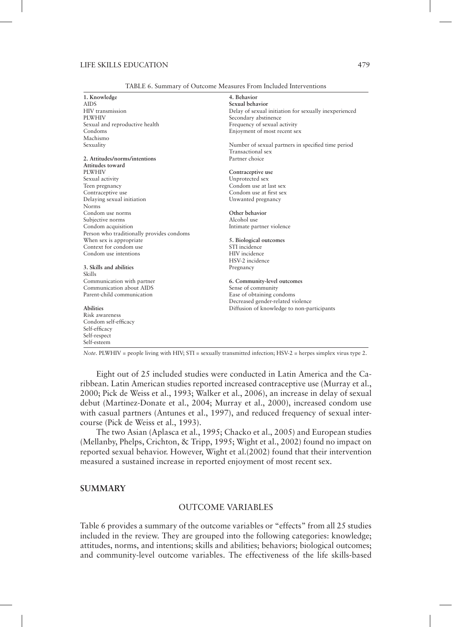| 1. Knowledge                              | 4. Behavior                                           |
|-------------------------------------------|-------------------------------------------------------|
| <b>AIDS</b>                               | Sexual behavior                                       |
| <b>HIV</b> transmission                   | Delay of sexual initiation for sexually inexperienced |
| <b>PLWHIV</b>                             | Secondary abstinence                                  |
| Sexual and reproductive health            | Frequency of sexual activity                          |
| Condoms                                   | Enjoyment of most recent sex                          |
| Machismo                                  |                                                       |
| Sexuality                                 | Number of sexual partners in specified time period    |
|                                           | Transactional sex                                     |
| 2. Attitudes/norms/intentions             | Partner choice                                        |
| Attitudes toward                          |                                                       |
| PLWHIV                                    | Contraceptive use                                     |
| Sexual activity                           | Unprotected sex                                       |
| Teen pregnancy                            | Condom use at last sex                                |
| Contraceptive use                         | Condom use at first sex                               |
| Delaying sexual initiation                | Unwanted pregnancy                                    |
| Norms                                     |                                                       |
| Condom use norms                          | Other behavior                                        |
| Subjective norms                          | Alcohol use                                           |
| Condom acquisition                        | Intimate partner violence                             |
| Person who traditionally provides condoms |                                                       |
| When sex is appropriate                   | 5. Biological outcomes                                |
| Context for condom use                    | STI incidence                                         |
| Condom use intentions                     | HIV incidence                                         |
|                                           | HSV-2 incidence                                       |
| 3. Skills and abilities                   | Pregnancy                                             |
| Skills                                    |                                                       |
| Communication with partner                | 6. Community-level outcomes                           |
| Communication about AIDS                  | Sense of community                                    |
| Parent-child communication                | Ease of obtaining condoms                             |
|                                           | Decreased gender-related violence                     |
| <b>Abilities</b>                          | Diffusion of knowledge to non-participants            |
| Risk awareness                            |                                                       |
| Condom self-efficacy                      |                                                       |
| Self-efficacy                             |                                                       |
| Self-respect                              |                                                       |
| Self-esteem                               |                                                       |

TABLE 6. Summary of Outcome Measures From Included Interventions

*Note*. PLWHIV = people living with HIV; STI = sexually transmitted infection; HSV-2 = herpes simplex virus type 2.

Eight out of 25 included studies were conducted in Latin America and the Caribbean. Latin American studies reported increased contraceptive use (Murray et al., 2000; Pick de Weiss et al., 1993; Walker et al., 2006), an increase in delay of sexual debut (Martinez-Donate et al., 2004; Murray et al., 2000), increased condom use with casual partners (Antunes et al., 1997), and reduced frequency of sexual intercourse (Pick de Weiss et al., 1993).

The two Asian (Aplasca et al., 1995; Chacko et al., 2005) and European studies (Mellanby, Phelps, Crichton, & Tripp, 1995; Wight et al., 2002) found no impact on reported sexual behavior. However, Wight et al.(2002) found that their intervention measured a sustained increase in reported enjoyment of most recent sex.

# **Summary**

# Outcome variables

Table 6 provides a summary of the outcome variables or "effects" from all 25 studies included in the review. They are grouped into the following categories: knowledge; attitudes, norms, and intentions; skills and abilities; behaviors; biological outcomes; and community-level outcome variables. The effectiveness of the life skills-based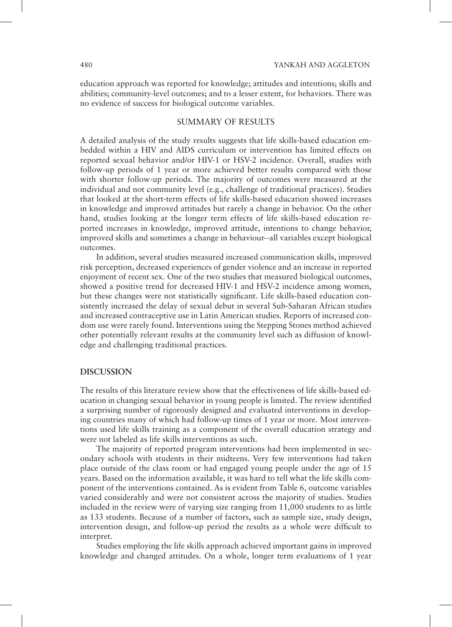education approach was reported for knowledge; attitudes and intentions; skills and abilities; community-level outcomes; and to a lesser extent, for behaviors. There was no evidence of success for biological outcome variables.

# Summary of results

A detailed analysis of the study results suggests that life skills-based education embedded within a HIV and AIDS curriculum or intervention has limited effects on reported sexual behavior and/or HIV-1 or HSV-2 incidence. Overall, studies with follow-up periods of 1 year or more achieved better results compared with those with shorter follow-up periods. The majority of outcomes were measured at the individual and not community level (e.g., challenge of traditional practices). Studies that looked at the short-term effects of life skills-based education showed increases in knowledge and improved attitudes but rarely a change in behavior. On the other hand, studies looking at the longer term effects of life skills-based education reported increases in knowledge, improved attitude, intentions to change behavior, improved skills and sometimes a change in behaviour--all variables except biological outcomes.

In addition, several studies measured increased communication skills, improved risk perception, decreased experiences of gender violence and an increase in reported enjoyment of recent sex. One of the two studies that measured biological outcomes, showed a positive trend for decreased HIV-1 and HSV-2 incidence among women, but these changes were not statistically significant. Life skills-based education consistently increased the delay of sexual debut in several Sub-Saharan African studies and increased contraceptive use in Latin American studies. Reports of increased condom use were rarely found. Interventions using the Stepping Stones method achieved other potentially relevant results at the community level such as diffusion of knowledge and challenging traditional practices.

#### **Discussion**

The results of this literature review show that the effectiveness of life skills-based education in changing sexual behavior in young people is limited. The review identified a surprising number of rigorously designed and evaluated interventions in developing countries many of which had follow-up times of 1 year or more. Most interventions used life skills training as a component of the overall education strategy and were not labeled as life skills interventions as such.

The majority of reported program interventions had been implemented in secondary schools with students in their midteens. Very few interventions had taken place outside of the class room or had engaged young people under the age of 15 years. Based on the information available, it was hard to tell what the life skills component of the interventions contained. As is evident from Table 6, outcome variables varied considerably and were not consistent across the majority of studies. Studies included in the review were of varying size ranging from 11,000 students to as little as 133 students. Because of a number of factors, such as sample size, study design, intervention design, and follow-up period the results as a whole were difficult to interpret.

Studies employing the life skills approach achieved important gains in improved knowledge and changed attitudes. On a whole, longer term evaluations of 1 year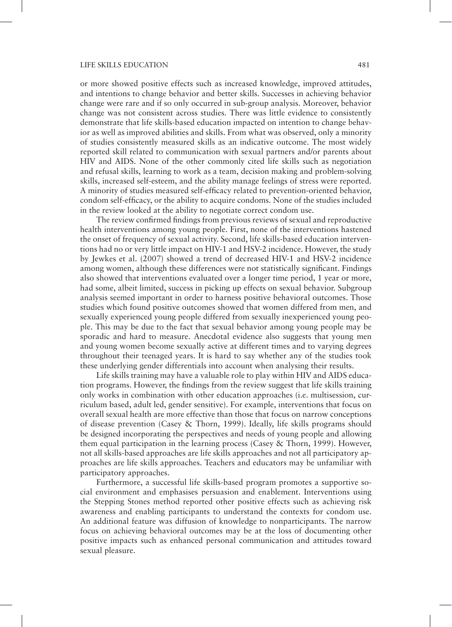or more showed positive effects such as increased knowledge, improved attitudes, and intentions to change behavior and better skills. Successes in achieving behavior change were rare and if so only occurred in sub-group analysis. Moreover, behavior change was not consistent across studies. There was little evidence to consistently demonstrate that life skills-based education impacted on intention to change behavior as well as improved abilities and skills. From what was observed, only a minority of studies consistently measured skills as an indicative outcome. The most widely reported skill related to communication with sexual partners and/or parents about HIV and AIDS. None of the other commonly cited life skills such as negotiation and refusal skills, learning to work as a team, decision making and problem-solving skills, increased self-esteem, and the ability manage feelings of stress were reported. A minority of studies measured self-efficacy related to prevention-oriented behavior, condom self-efficacy, or the ability to acquire condoms. None of the studies included in the review looked at the ability to negotiate correct condom use.

The review confirmed findings from previous reviews of sexual and reproductive health interventions among young people. First, none of the interventions hastened the onset of frequency of sexual activity. Second, life skills-based education interventions had no or very little impact on HIV-1 and HSV-2 incidence. However, the study by Jewkes et al. (2007) showed a trend of decreased HIV-1 and HSV-2 incidence among women, although these differences were not statistically significant. Findings also showed that interventions evaluated over a longer time period, 1 year or more, had some, albeit limited, success in picking up effects on sexual behavior. Subgroup analysis seemed important in order to harness positive behavioral outcomes. Those studies which found positive outcomes showed that women differed from men, and sexually experienced young people differed from sexually inexperienced young people. This may be due to the fact that sexual behavior among young people may be sporadic and hard to measure. Anecdotal evidence also suggests that young men and young women become sexually active at different times and to varying degrees throughout their teenaged years. It is hard to say whether any of the studies took these underlying gender differentials into account when analysing their results.

Life skills training may have a valuable role to play within HIV and AIDS education programs. However, the findings from the review suggest that life skills training only works in combination with other education approaches (i.e. multisession, curriculum based, adult led, gender sensitive). For example, interventions that focus on overall sexual health are more effective than those that focus on narrow conceptions of disease prevention (Casey & Thorn, 1999). Ideally, life skills programs should be designed incorporating the perspectives and needs of young people and allowing them equal participation in the learning process (Casey & Thorn, 1999). However, not all skills-based approaches are life skills approaches and not all participatory approaches are life skills approaches. Teachers and educators may be unfamiliar with participatory approaches.

Furthermore, a successful life skills-based program promotes a supportive social environment and emphasises persuasion and enablement. Interventions using the Stepping Stones method reported other positive effects such as achieving risk awareness and enabling participants to understand the contexts for condom use. An additional feature was diffusion of knowledge to nonparticipants. The narrow focus on achieving behavioral outcomes may be at the loss of documenting other positive impacts such as enhanced personal communication and attitudes toward sexual pleasure.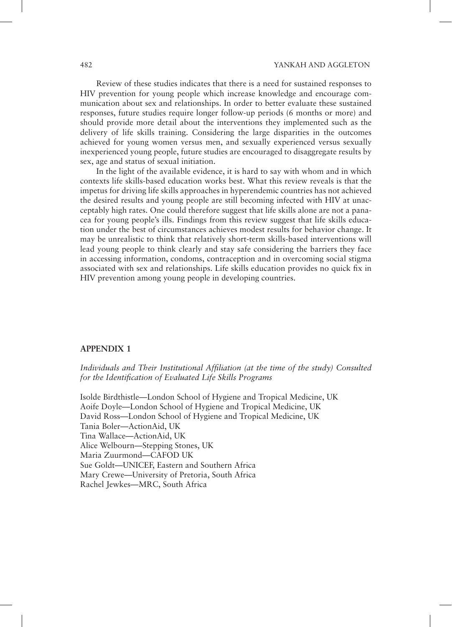Review of these studies indicates that there is a need for sustained responses to HIV prevention for young people which increase knowledge and encourage communication about sex and relationships. In order to better evaluate these sustained responses, future studies require longer follow-up periods (6 months or more) and should provide more detail about the interventions they implemented such as the delivery of life skills training. Considering the large disparities in the outcomes achieved for young women versus men, and sexually experienced versus sexually inexperienced young people, future studies are encouraged to disaggregate results by sex, age and status of sexual initiation.

In the light of the available evidence, it is hard to say with whom and in which contexts life skills-based education works best. What this review reveals is that the impetus for driving life skills approaches in hyperendemic countries has not achieved the desired results and young people are still becoming infected with HIV at unacceptably high rates. One could therefore suggest that life skills alone are not a panacea for young people's ills. Findings from this review suggest that life skills education under the best of circumstances achieves modest results for behavior change. It may be unrealistic to think that relatively short-term skills-based interventions will lead young people to think clearly and stay safe considering the barriers they face in accessing information, condoms, contraception and in overcoming social stigma associated with sex and relationships. Life skills education provides no quick fix in HIV prevention among young people in developing countries.

### **Appendix 1**

*Individuals and Their Institutional Affiliation (at the time of the study)* Consulted *for the Identification of Evaluated Life Skills Programs*

Isolde Birdthistle—London School of Hygiene and Tropical Medicine, UK Aoife Doyle—London School of Hygiene and Tropical Medicine, UK David Ross—London School of Hygiene and Tropical Medicine, UK Tania Boler—ActionAid, UK Tina Wallace—ActionAid, UK Alice Welbourn—Stepping Stones, UK Maria Zuurmond—CAFOD UK Sue Goldt—UNICEF, Eastern and Southern Africa Mary Crewe—University of Pretoria, South Africa Rachel Jewkes—MRC, South Africa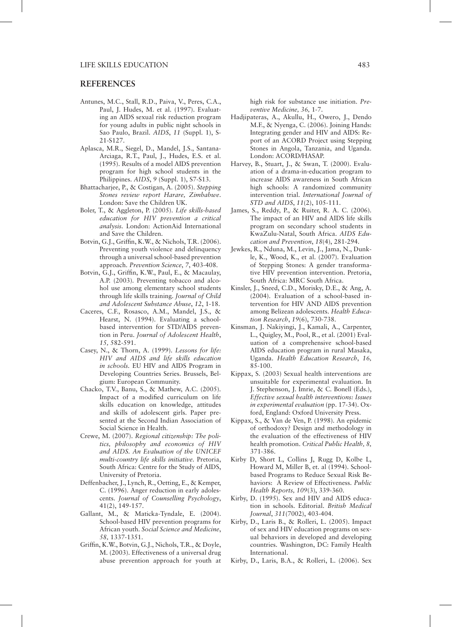#### **References**

- Antunes, M.C., Stall, R.D., Paiva, V., Peres, C.A., Paul, J. Hudes, M. et al. (1997). Evaluating an AIDS sexual risk reduction program for young adults in public night schools in Sao Paulo, Brazil. *AIDS*, 11 (Suppl. 1), S-21-S127.
- Aplasca, M.R., Siegel, D., Mandel, J.S., Santana-Arciaga, R.T., Paul, J., Hudes, E.S. et al. (1995). Results of a model AIDS prevention program for high school students in the Philippines. *AIDS*, *9* (Suppl. 1), S7-S13.
- Bhattacharjee, P., & Costigan, A. (2005). *Stepping Stones review report Harare, Zimbabwe*. London: Save the Children UK.
- Boler, T., & Aggleton, P. (2005). *Life skills-based education for HIV prevention a critical analysis.* London: ActionAid International and Save the Children.
- Botvin, G.J., Griffin, K.W., & Nichols, T.R. (2006). Preventing youth violence and delinquency through a universal school-based prevention approach. *Prevention Science*, *7*, 403-408.
- Botvin, G.J., Griffin, K.W., Paul, E., & Macaulay, A.P. (2003). Preventing tobacco and alcohol use among elementary school students through life skills training. *Journal of Child and Adolescent Substance Abuse*, *12*, 1-18.
- Caceres, C.F., Rosasco, A.M., Mandel, J.S., & Hearst, N. (1994). Evaluating a schoolbased intervention for STD/AIDS prevention in Peru. *Journal of Adolescent Health*, *15,* 582-591.
- Casey, N., & Thorn, A. (1999). *Lessons for life: HIV and AIDS and life skills education in schools.* EU HIV and AIDS Program in Developing Countries Series. Brussels, Belgium: European Community.
- Chacko, T.V., Banu, S., & Mathew, A.C. (2005). Impact of a modified curriculum on life skills education on knowledge, attitudes and skills of adolescent girls. Paper presented at the Second Indian Association of Social Science in Health.
- Crewe, M. (2007). *Regional citizenship: The politics, philosophy and economics of HIV and AIDS. An Evaluation of the UNICEF multi-country life skills initiative.* Pretoria, South Africa: Centre for the Study of AIDS, University of Pretoria.
- Deffenbacher, J., Lynch, R., Oetting, E., & Kemper, C. (1996). Anger reduction in early adolescents. *Journal of Counselling Psychology*, 41(2), 149-157.
- Gallant, M., & Maticka-Tyndale, E. (2004). School-based HIV prevention programs for African youth. *Social Science and Medicine*, *58,* 1337-1351.
- Griffin, K.W., Botvin, G.J., Nichols, T.R., & Doyle, M. (2003). Effectiveness of a universal drug abuse prevention approach for youth at

high risk for substance use initiation. *Preventive Medicine, 36,* 1-7.

- Hadjipateras, A., Akullu, H., Owero, J., Dendo M.F., & Nyenga, C. (2006). Joining Hands: Integrating gender and HIV and AIDS: Report of an ACORD Project using Stepping Stones in Angola, Tanzania, and Uganda. London: ACORD/HASAP.
- Harvey, B., Stuart, J., & Swan, T. (2000). Evaluation of a drama-in-education program to increase AIDS awareness in South African high schools: A randomized community intervention trial. *International Journal of STD and AIDS*, *11*(2), 105-111.
- James, S., Reddy, P., & Ruiter, R. A. C. (2006). The impact of an HIV and AIDS life skills program on secondary school students in KwaZulu-Natal, South Africa. *AIDS Education and Prevention*, *18*(4), 281-294.
- Jewkes, R., Nduna, M., Levin, J., Jama, N., Dunkle, K., Wood, K., et al. (2007). Evaluation of Stepping Stones: A gender transformative HIV prevention intervention. Pretoria, South Africa: MRC South Africa.
- Kinsler, J., Sneed, C.D., Morisky, D.E., & Ang, A. (2004). Evaluation of a school-based intervention for HIV AND AIDS prevention among Belizean adolescents. *Health Education Research*, *19*(6), 730-738.
- Kinsman, J. Nakiyingi, J., Kamali, A., Carpenter, L., Quigley, M., Pool, R., et al. (2001) Evaluation of a comprehensive school-based AIDS education program in rural Masaka, Uganda. *Health Education Research*, *16,* 85-100.
- Kippax, S. (2003) Sexual health interventions are unsuitable for experimental evaluation. In J. Stephenson, J. Imrie, & C. Bonell (Eds.), *Effective sexual health interventions: Issues in experimental evaluation* (pp. 17-34). Oxford, England: Oxford University Press.
- Kippax, S., & Van de Ven, P. (1998). An epidemic of orthodoxy? Design and methodology in the evaluation of the effectiveness of HIV health promotion. *Critical Public Health, 8,* 371-386.
- Kirby D, Short L, Collins J, Rugg D, Kolbe L, Howard M, Miller B, et. al (1994). Schoolbased Programs to Reduce Sexual Risk Behaviors: A Review of Effectiveness. *Public Health Reports, 109*(3), 339-360.
- Kirby, D. (1995). Sex and HIV and AIDS education in schools. Editorial. *British Medical Journal*, *311*(7002), 403-404.
- Kirby, D., Laris B., & Rolleri, L. (2005). Impact of sex and HIV education programs on sexual behaviors in developed and developing countries. Washington, DC: Family Health International.
- Kirby, D., Laris, B.A., & Rolleri, L. (2006). Sex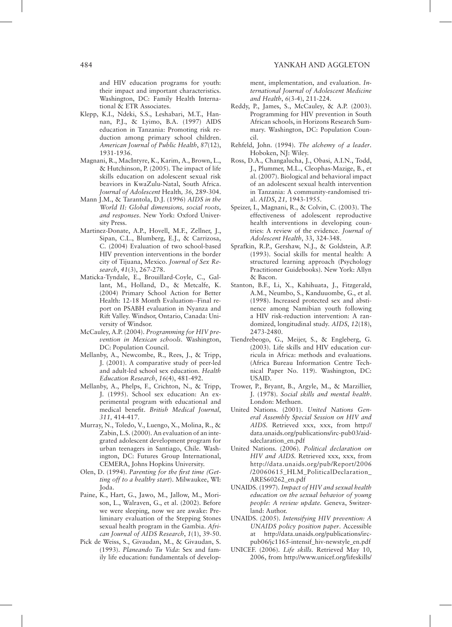and HIV education programs for youth: their impact and important characteristics. Washington, DC: Family Health International & ETR Associates.

- Klepp, K.I., Ndeki, S.S., Leshabari, M.T., Hannan, P.J., & Lyimo, B.A. (1997) AIDS education in Tanzania: Promoting risk reduction among primary school children. *American Journal of Public Health*, *87*(12), 1931-1936.
- Magnani, R., MacIntyre, K., Karim, A., Brown, L., & Hutchinson, P. (2005). The impact of life skills education on adolescent sexual risk beaviors in KwaZulu-Natal, South Africa. *Journal of Adolescent* Health*, 36,* 289-304.
- Mann J.M., & Tarantola, D.J. (1996) *AIDS in the World II: Global dimensions, social roots, and responses*. New York: Oxford University Press.
- Martinez-Donate, A.P., Hovell, M.F., Zellner, J., Sipan, C.L., Blumberg, E.J., & Carrizosa, C. (2004) Evaluation of two school-based HIV prevention interventions in the border city of Tijuana, Mexico. *Journal of Sex Research*, *41*(3), 267-278.
- Maticka-Tyndale, E., Brouillard-Coyle, C., Gallant, M., Holland, D., & Metcalfe, K. (2004) Primary School Action for Better Health: 12-18 Month Evaluation--Final report on PSABH evaluation in Nyanza and Rift Valley. Windsor, Ontario, Canada: University of Windsor.
- McCauley, A.P. (2004). *Programming for HIV prevention in Mexican schools*. Washington, DC: Population Council.
- Mellanby, A., Newcombe, R., Rees, J., & Tripp, J. (2001). A comparative study of peer-led and adult-led school sex education. *Health Education Research*, *16*(4), 481-492.
- Mellanby, A., Phelps, F., Crichton, N., & Tripp, J. (1995). School sex education: An experimental program with educational and medical benefit. *British Medical Journal*, *311,* 414-417.
- Murray, N., Toledo, V., Luengo, X., Molina, R., & Zabin, L.S. (2000). An evaluation of an integrated adolescent development program for urban teenagers in Santiago, Chile. Washington, DC: Futures Group International, CEMERA, Johns Hopkins University.
- Olen, D. (1994). *Parenting for the first time (Getting off to a healthy start*). Milwaukee, WI: Joda.
- Paine, K., Hart, G., Jawo, M., Jallow, M., Morison, L., Walraven, G., et al. (2002). Before we were sleeping, now we are awake: Preliminary evaluation of the Stepping Stones sexual health program in the Gambia. *African Journal of AIDS Research*, *1*(1), 39-50.
- Pick de Weiss, S., Givaudan, M., & Givaudan, S. (1993). *Planeando Tu Vida*: Sex and family life education: fundamentals of develop-

ment, implementation, and evaluation. *International Journal of Adolescent Medicine and Health*, *6*(3-4), 211-224.

- Reddy, P., James, S., McCauley, & A.P. (2003). Programming for HIV prevention in South African schools, in Horizons Research Summary. Washington, DC: Population Council.
- Rehfeld, John. (1994). *The alchemy of a leader*. Hoboken, NJ: Wiley.
- Ross, D.A., Changalucha, J., Obasi, A.I.N., Todd, J., Plummer, M.L., Cleophas-Mazige, B., et al. (2007). Biological and behavioral impact of an adolescent sexual health intervention in Tanzania: A community-randomised trial. *AIDS*, *21,* 1943-1955.
- Speizer, I., Magnani, R., & Colvin, C. (2003). The effectiveness of adolescent reproductive health interventions in developing countries: A review of the evidence. *Journal of Adolescent Health*, 33, 324-348.
- Sprafkin, R.P., Gershaw, N.J., & Goldstein, A.P. (1993). Social skills for mental health: A structured learning approach (Psychology Practitioner Guidebooks). New York: Allyn & Bacon.
- Stanton, B.F., Li, X., Kahihuata, J., Fitzgerald, A.M., Neumbo, S., Kanduuombe, G., et al. (1998). Increased protected sex and abstinence among Namibian youth following a HIV risk-reduction intervention: A randomized, longitudinal study. *AIDS*, *12*(18), 2473-2480.
- Tiendrebeogo, G., Meijer, S., & Engleberg, G. (2003). Life skills and HIV education curricula in Africa: methods and evaluations. (Africa Bureau Information Centre Technical Paper No. 119). Washington, DC: USAID.
- Trower, P., Bryant, B., Argyle, M., & Marzillier, J. (1978). *Social skills and mental health*. London: Methuen.
- United Nations. (2001). *United Nations General Assembly Special Session on HIV and AIDS.* Retrieved xxx, xxx, from http:// data.unaids.org/publications/irc-pub03/aidsdeclaration\_en.pdf
- United Nations. (2006). *Political declaration on HIV and AIDS.* Retrieved xxx, xxx, from http://data.unaids.org/pub/Report/2006 /20060615\_HLM\_PoliticalDeclaration\_ ARES60262\_en.pdf
- UNAIDS. (1997). *Impact of HIV and sexual health education on the sexual behavior of young people: A review update.* Geneva, Switzerland: Author.
- UNAIDS. (2005). *Intensifying HIV prevention: A UNAIDS policy position paper*. Accessible at http://data.unaids.org/publications/ircpub06/jc1165-intensif\_hiv-newstyle\_en.pdf
- UNICEF. (2006). *Life skills.* Retrieved May 10, 2006, from http://www.unicef.org/lifeskills/